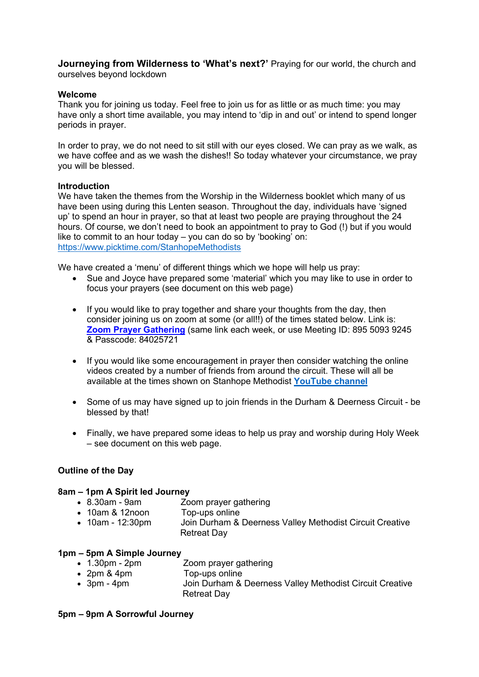Journeying from Wilderness to 'What's next?' Praying for our world, the church and ourselves beyond lockdown

#### Welcome

Thank you for joining us today. Feel free to join us for as little or as much time: you may have only a short time available, you may intend to 'dip in and out' or intend to spend longer periods in prayer.

In order to pray, we do not need to sit still with our eyes closed. We can pray as we walk, as we have coffee and as we wash the dishes!! So today whatever your circumstance, we pray you will be blessed.

#### **Introduction**

We have taken the themes from the Worship in the Wilderness booklet which many of us have been using during this Lenten season. Throughout the day, individuals have 'signed up' to spend an hour in prayer, so that at least two people are praying throughout the 24 hours. Of course, we don't need to book an appointment to pray to God (!) but if you would like to commit to an hour today – you can do so by 'booking' on: https://www.picktime.com/StanhopeMethodists

We have created a 'menu' of different things which we hope will help us pray:

- Sue and Joyce have prepared some 'material' which you may like to use in order to focus your prayers (see document on this web page)
- If you would like to pray together and share your thoughts from the day, then consider joining us on zoom at some (or all!!) of the times stated below. Link is: Zoom Prayer Gathering (same link each week, or use Meeting ID: 895 5093 9245 & Passcode: 84025721
- If you would like some encouragement in prayer then consider watching the online videos created by a number of friends from around the circuit. These will all be available at the times shown on Stanhope Methodist YouTube channel
- Some of us may have signed up to join friends in the Durham & Deerness Circuit be blessed by that!
- Finally, we have prepared some ideas to help us pray and worship during Holy Week – see document on this web page.

### Outline of the Day

#### 8am – 1pm A Spirit led Journey

- 8.30am 9am Zoom prayer gathering
- 10am & 12noon Top-ups online
- 10am 12:30pm Join Durham & Deerness Valley Methodist Circuit Creative Retreat Day

#### 1pm – 5pm A Simple Journey

- 1.30pm 2pm Zoom prayer gathering
- 2pm & 4pm Top-ups online
- 3pm 4pm Join Durham & Deerness Valley Methodist Circuit Creative Retreat Day

#### 5pm – 9pm A Sorrowful Journey